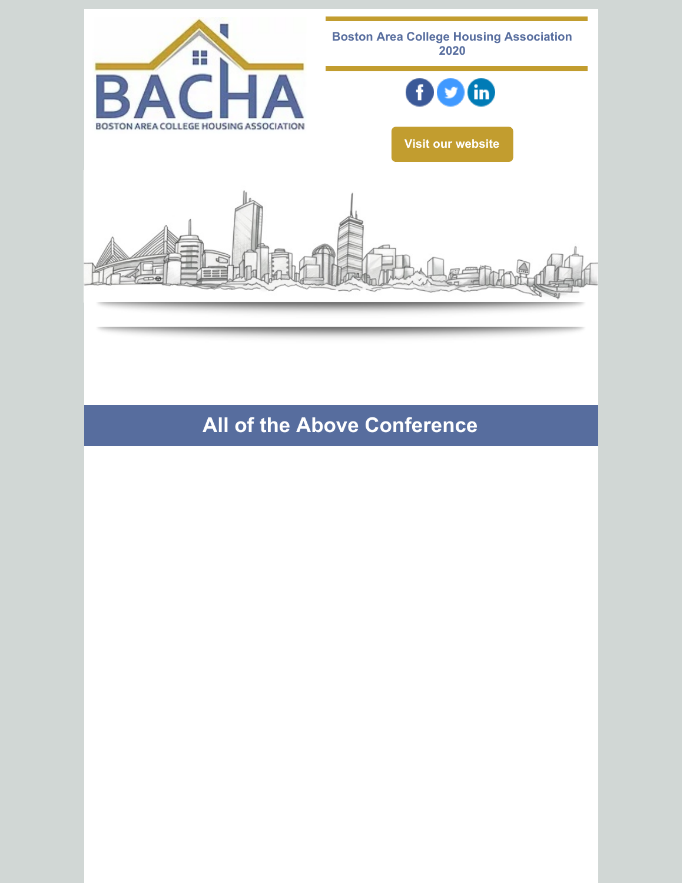

**All of the Above Conference**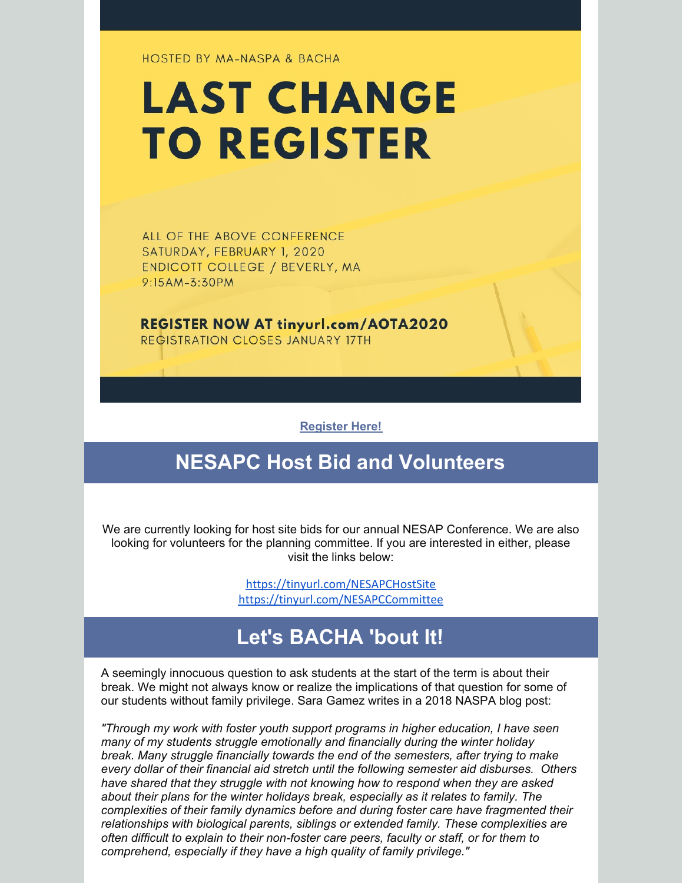**HOSTED BY MA-NASPA & BACHA** 

# **LAST CHANGE TO REGISTER**

ALL OF THE ABOVE CONFERENCE SATURDAY, FEBRUARY 1, 2020 ENDICOTT COLLEGE / BEVERLY, MA 9:15AM-3:30PM

**REGISTER NOW AT tinyurl.com/AOTA2020** REGISTRATION CLOSES JANUARY 17TH

**[Register](http://tinyurl.com/AOTA2020) Here!**

## **NESAPC Host Bid and Volunteers**

We are currently looking for host site bids for our annual NESAP Conference. We are also looking for volunteers for the planning committee. If you are interested in either, please visit the links below:

> <https://tinyurl.com/NESAPCHostSite> <https://tinyurl.com/NESAPCCommittee>

# **Let's BACHA 'bout It!**

A seemingly innocuous question to ask students at the start of the term is about their break. We might not always know or realize the implications of that question for some of our students without family privilege. Sara Gamez writes in a 2018 NASPA blog post:

*"Through my work with foster youth support programs in higher education, I have seen many of my students struggle emotionally and financially during the winter holiday break. Many struggle financially towards the end of the semesters, after trying to make every dollar of their financial aid stretch until the following semester aid disburses. Others have shared that they struggle with not knowing how to respond when they are asked about their plans for the winter holidays break, especially as it relates to family. The complexities of their family dynamics before and during foster care have fragmented their relationships with biological parents, siblings or extended family. These complexities are often difficult to explain to their non-foster care peers, faculty or staff, or for them to comprehend, especially if they have a high quality of family privilege."*